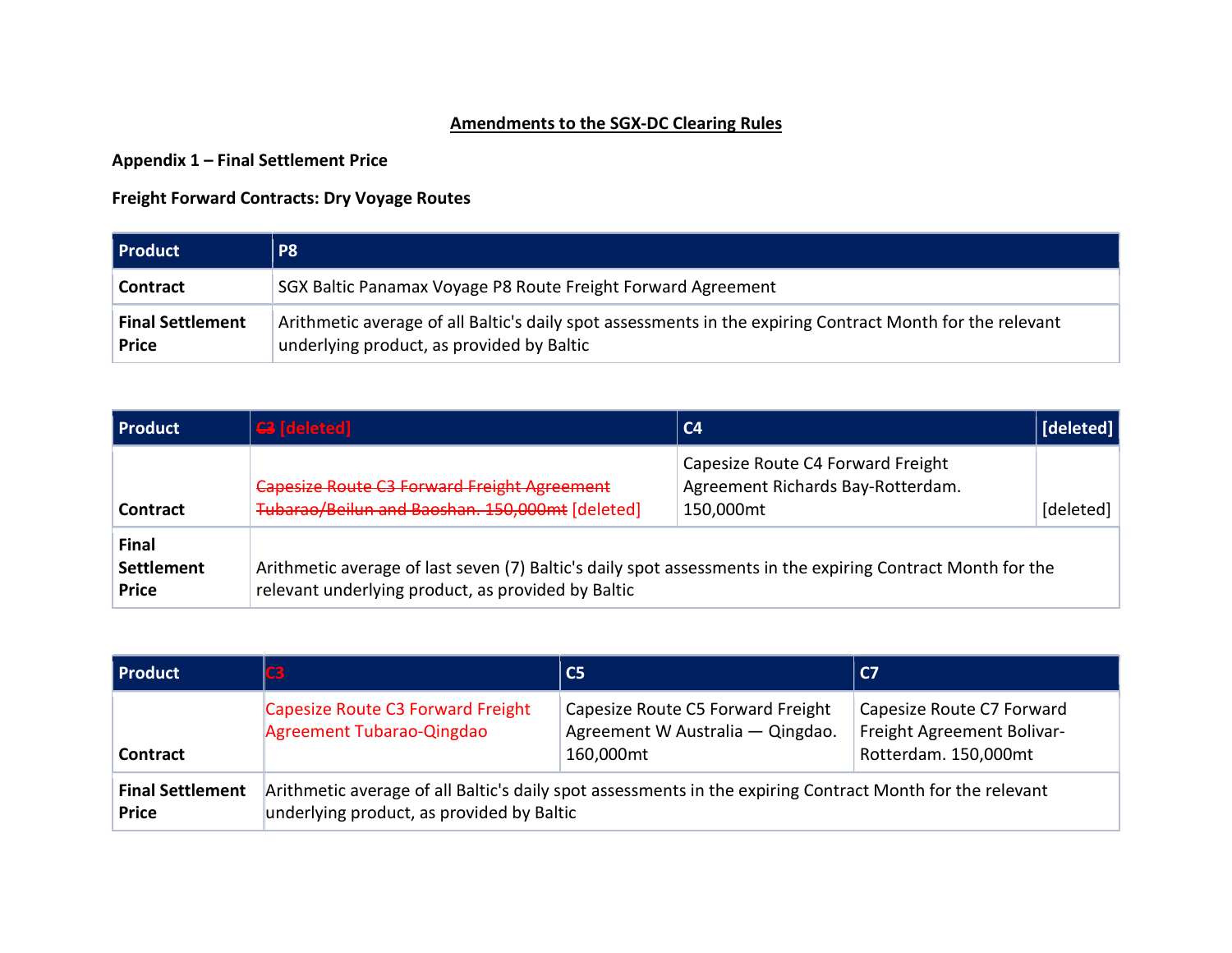## Amendments to the SGX-DC Clearing Rules

Appendix 1 – Final Settlement Price

## Freight Forward Contracts: Dry Voyage Routes

| <b>Product</b>                          | <b>P8</b>                                                                                                                                              |
|-----------------------------------------|--------------------------------------------------------------------------------------------------------------------------------------------------------|
| <b>Contract</b>                         | SGX Baltic Panamax Voyage P8 Route Freight Forward Agreement                                                                                           |
| <b>Final Settlement</b><br><b>Price</b> | Arithmetic average of all Baltic's daily spot assessments in the expiring Contract Month for the relevant<br>underlying product, as provided by Baltic |

| Product                             | $G$ [deleted]                                                                                                                                                     | C <sub>4</sub>                                                                      | [deleted] |
|-------------------------------------|-------------------------------------------------------------------------------------------------------------------------------------------------------------------|-------------------------------------------------------------------------------------|-----------|
| Contract                            | <b>Capesize Route C3 Forward Freight Agreement</b><br>Tubarao/Beilun and Baoshan. 150,000mt [deleted]                                                             | Capesize Route C4 Forward Freight<br>Agreement Richards Bay-Rotterdam.<br>150,000mt | [deleted] |
| Final<br>Settlement<br><b>Price</b> | Arithmetic average of last seven (7) Baltic's daily spot assessments in the expiring Contract Month for the<br>relevant underlying product, as provided by Baltic |                                                                                     |           |

| Product                                 | 83                                                             | $\overline{\text{C5}}$                                                                                    | C <sub>7</sub>                                                                  |  |  |  |
|-----------------------------------------|----------------------------------------------------------------|-----------------------------------------------------------------------------------------------------------|---------------------------------------------------------------------------------|--|--|--|
| <b>Contract</b>                         | Capesize Route C3 Forward Freight<br>Agreement Tubarao-Qingdao | Capesize Route C5 Forward Freight<br>Agreement W Australia - Qingdao.<br>160,000mt                        | Capesize Route C7 Forward<br>Freight Agreement Bolivar-<br>Rotterdam. 150,000mt |  |  |  |
| <b>Final Settlement</b><br><b>Price</b> | underlying product, as provided by Baltic                      | Arithmetic average of all Baltic's daily spot assessments in the expiring Contract Month for the relevant |                                                                                 |  |  |  |